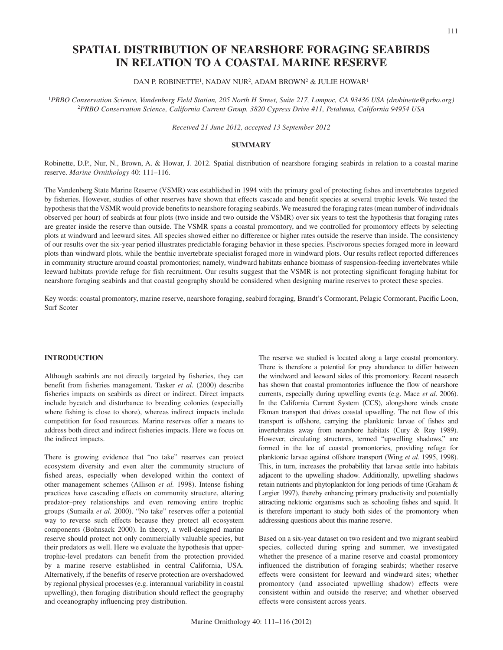# **SPATIAL DISTRIBUTION OF NEARSHORE FORAGING SEABIRDS IN RELATION TO A COASTAL MARINE RESERVE**

## DAN P. ROBINETTE<sup>1</sup>, NADAV NUR<sup>2</sup>, ADAM BROWN<sup>2</sup> & JULIE HOWAR<sup>1</sup>

1 *PRBO Conservation Science, Vandenberg Field Station, 205 North H Street, Suite 217, Lompoc, CA 93436 USA (drobinette@prbo.org)* <sup>2</sup>*PRBO Conservation Science, California Current Group, 3820 Cypress Drive #11, Petaluma, California 94954 USA*

*Received 21 June 2012, accepted 13 September 2012*

## **SUMMARY**

Robinette, D.P., Nur, N., Brown, A. & Howar, J. 2012. Spatial distribution of nearshore foraging seabirds in relation to a coastal marine reserve. *Marine Ornithology* 40: 111–116.

The Vandenberg State Marine Reserve (VSMR) was established in 1994 with the primary goal of protecting fishes and invertebrates targeted by fisheries. However, studies of other reserves have shown that effects cascade and benefit species at several trophic levels. We tested the hypothesis that the VSMR would provide benefits to nearshore foraging seabirds. We measured the foraging rates (mean number of individuals observed per hour) of seabirds at four plots (two inside and two outside the VSMR) over six years to test the hypothesis that foraging rates are greater inside the reserve than outside. The VSMR spans a coastal promontory, and we controlled for promontory effects by selecting plots at windward and leeward sites. All species showed either no difference or higher rates outside the reserve than inside. The consistency of our results over the six-year period illustrates predictable foraging behavior in these species. Piscivorous species foraged more in leeward plots than windward plots, while the benthic invertebrate specialist foraged more in windward plots. Our results reflect reported differences in community structure around coastal promontories; namely, windward habitats enhance biomass of suspension-feeding invertebrates while leeward habitats provide refuge for fish recruitment. Our results suggest that the VSMR is not protecting significant foraging habitat for nearshore foraging seabirds and that coastal geography should be considered when designing marine reserves to protect these species.

Key words: coastal promontory, marine reserve, nearshore foraging, seabird foraging, Brandt's Cormorant, Pelagic Cormorant, Pacific Loon, Surf Scoter

## **INTRODUCTION**

Although seabirds are not directly targeted by fisheries, they can benefit from fisheries management. Tasker *et al.* (2000) describe fisheries impacts on seabirds as direct or indirect. Direct impacts include bycatch and disturbance to breeding colonies (especially where fishing is close to shore), whereas indirect impacts include competition for food resources. Marine reserves offer a means to address both direct and indirect fisheries impacts. Here we focus on the indirect impacts.

There is growing evidence that "no take" reserves can protect ecosystem diversity and even alter the community structure of fished areas, especially when developed within the context of other management schemes (Allison *et al.* 1998). Intense fishing practices have cascading effects on community structure, altering predator–prey relationships and even removing entire trophic groups (Sumaila *et al.* 2000). "No take" reserves offer a potential way to reverse such effects because they protect all ecosystem components (Bohnsack 2000). In theory, a well-designed marine reserve should protect not only commercially valuable species, but their predators as well. Here we evaluate the hypothesis that uppertrophic-level predators can benefit from the protection provided by a marine reserve established in central California, USA. Alternatively, if the benefits of reserve protection are overshadowed by regional physical processes (e.g. interannual variability in coastal upwelling), then foraging distribution should reflect the geography and oceanography influencing prey distribution.

The reserve we studied is located along a large coastal promontory. There is therefore a potential for prey abundance to differ between the windward and leeward sides of this promontory. Recent research has shown that coastal promontories influence the flow of nearshore currents, especially during upwelling events (e.g. Mace *et al*. 2006). In the California Current System (CCS), alongshore winds create Ekman transport that drives coastal upwelling. The net flow of this transport is offshore, carrying the planktonic larvae of fishes and invertebrates away from nearshore habitats (Cury & Roy 1989). However, circulating structures, termed "upwelling shadows," are formed in the lee of coastal promontories, providing refuge for planktonic larvae against offshore transport (Wing *et al.* 1995, 1998). This, in turn, increases the probability that larvae settle into habitats adjacent to the upwelling shadow. Additionally, upwelling shadows retain nutrients and phytoplankton for long periods of time (Graham & Largier 1997), thereby enhancing primary productivity and potentially attracting nektonic organisms such as schooling fishes and squid. It is therefore important to study both sides of the promontory when addressing questions about this marine reserve.

Based on a six-year dataset on two resident and two migrant seabird species, collected during spring and summer, we investigated whether the presence of a marine reserve and coastal promontory influenced the distribution of foraging seabirds; whether reserve effects were consistent for leeward and windward sites; whether promontory (and associated upwelling shadow) effects were consistent within and outside the reserve; and whether observed effects were consistent across years.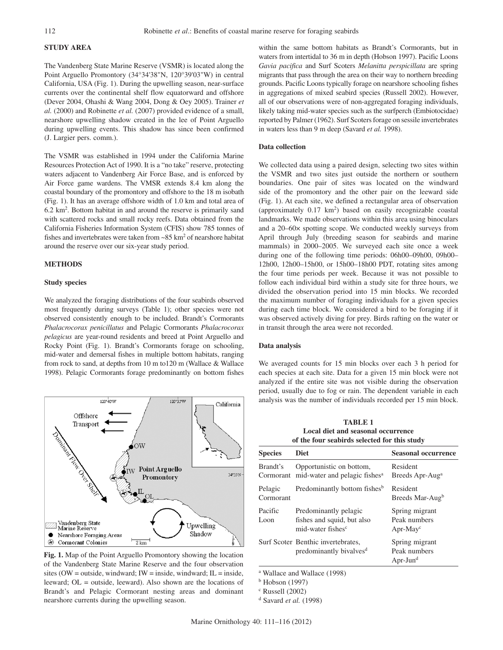# **STUDY AREA**

The Vandenberg State Marine Reserve (VSMR) is located along the Point Arguello Promontory (34°34'38"N, 120°39'03"W) in central California, USA (Fig. 1). During the upwelling season, near-surface currents over the continental shelf flow equatorward and offshore (Dever 2004, Ohashi & Wang 2004, Dong & Oey 2005). Trainer *et al.* (2000) and Robinette *et al.* (2007) provided evidence of a small, nearshore upwelling shadow created in the lee of Point Arguello during upwelling events. This shadow has since been confirmed (J. Largier pers. comm.).

The VSMR was established in 1994 under the California Marine Resources Protection Act of 1990. It is a "no take" reserve, protecting waters adjacent to Vandenberg Air Force Base, and is enforced by Air Force game wardens. The VMSR extends 8.4 km along the coastal boundary of the promontory and offshore to the 18 m isobath (Fig. 1). It has an average offshore width of 1.0 km and total area of 6.2 km2 . Bottom habitat in and around the reserve is primarily sand with scattered rocks and small rocky reefs. Data obtained from the California Fisheries Information System (CFIS) show 785 tonnes of fishes and invertebrates were taken from  $\sim 85$  km<sup>2</sup> of nearshore habitat around the reserve over our six-year study period.

## **METHODS**

## **Study species**

We analyzed the foraging distributions of the four seabirds observed most frequently during surveys (Table 1); other species were not observed consistently enough to be included. Brandt's Cormorants *Phalacrocorax penicillatus* and Pelagic Cormorants *Phalacrocorax pelagicus* are year-round residents and breed at Point Arguello and Rocky Point (Fig. 1). Brandt's Cormorants forage on schooling, mid-water and demersal fishes in multiple bottom habitats, ranging from rock to sand, at depths from 10 m to120 m (Wallace & Wallace 1998). Pelagic Cormorants forage predominantly on bottom fishes



**Fig. 1.** Map of the Point Arguello Promontory showing the location of the Vandenberg State Marine Reserve and the four observation sites (OW = outside, windward; IW = inside, windward; IL = inside, leeward; OL = outside, leeward). Also shown are the locations of Brandt's and Pelagic Cormorant nesting areas and dominant nearshore currents during the upwelling season.

within the same bottom habitats as Brandt's Cormorants, but in waters from intertidal to 36 m in depth (Hobson 1997). Pacific Loons *Gavia pacifica* and Surf Scoters *Melanitta perspicillata* are spring migrants that pass through the area on their way to northern breeding grounds. Pacific Loons typically forage on nearshore schooling fishes in aggregations of mixed seabird species (Russell 2002). However, all of our observations were of non-aggregated foraging individuals, likely taking mid-water species such as the surfperch (Embiotocidae) reported by Palmer (1962). Surf Scoters forage on sessile invertebrates in waters less than 9 m deep (Savard *et al.* 1998).

### **Data collection**

We collected data using a paired design, selecting two sites within the VSMR and two sites just outside the northern or southern boundaries. One pair of sites was located on the windward side of the promontory and the other pair on the leeward side (Fig. 1). At each site, we defined a rectangular area of observation (approximately 0.17 km2 ) based on easily recognizable coastal landmarks. We made observations within this area using binoculars and a 20–60× spotting scope. We conducted weekly surveys from April through July (breeding season for seabirds and marine mammals) in 2000–2005. We surveyed each site once a week during one of the following time periods: 06h00–09h00, 09h00– 12h00, 12h00–15h00, or 15h00–18h00 PDT, rotating sites among the four time periods per week. Because it was not possible to follow each individual bird within a study site for three hours, we divided the observation period into 15 min blocks. We recorded the maximum number of foraging individuals for a given species during each time block. We considered a bird to be foraging if it was observed actively diving for prey. Birds rafting on the water or in transit through the area were not recorded.

#### **Data analysis**

We averaged counts for 15 min blocks over each 3 h period for each species at each site. Data for a given 15 min block were not analyzed if the entire site was not visible during the observation period, usually due to fog or rain. The dependent variable in each analysis was the number of individuals recorded per 15 min block.

**TABLE 1 Local diet and seasonal occurrence of the four seabirds selected for this study**

| <b>Species</b>        | <b>Diet</b>                                                                          | <b>Seasonal occurrence</b>                    |
|-----------------------|--------------------------------------------------------------------------------------|-----------------------------------------------|
| Brandt's<br>Cormorant | Opportunistic on bottom,<br>mid-water and pelagic fishes <sup>a</sup>                | Resident<br>Breeds Apr-Aug <sup>a</sup>       |
| Pelagic<br>Cormorant  | Predominantly bottom fishes <sup>b</sup>                                             | Resident<br>Breeds Mar-Aug <sup>b</sup>       |
| Pacific<br>Loon       | Predominantly pelagic<br>fishes and squid, but also<br>mid-water fishes <sup>c</sup> | Spring migrant<br>Peak numbers<br>$Apr-May^c$ |
|                       | Surf Scoter Benthic invertebrates,<br>predominantly bivalves <sup>d</sup>            | Spring migrant<br>Peak numbers<br>$Apr-Jund$  |
|                       |                                                                                      |                                               |

a Wallace and Wallace (1998)

b Hobson (1997)

c Russell (2002)

d Savard *et al.* (1998)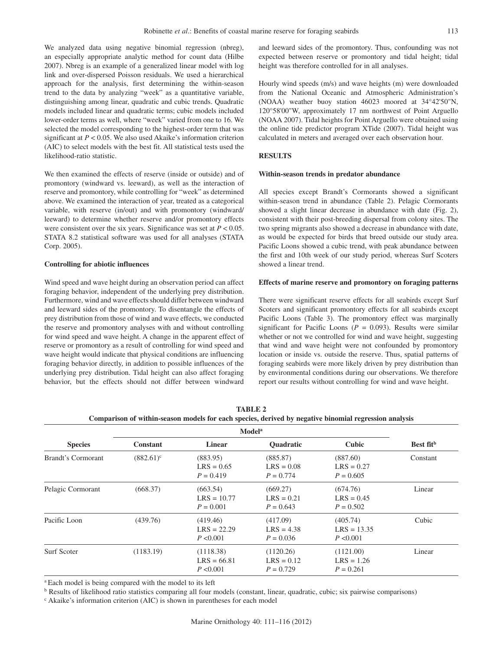We analyzed data using negative binomial regression (nbreg), an especially appropriate analytic method for count data (Hilbe 2007). Nbreg is an example of a generalized linear model with log link and over-dispersed Poisson residuals. We used a hierarchical approach for the analysis, first determining the within-season trend to the data by analyzing "week" as a quantitative variable, distinguishing among linear, quadratic and cubic trends. Quadratic models included linear and quadratic terms; cubic models included lower-order terms as well, where "week" varied from one to 16. We selected the model corresponding to the highest-order term that was significant at *P* < 0.05. We also used Akaike's information criterion (AIC) to select models with the best fit. All statistical tests used the likelihood-ratio statistic.

We then examined the effects of reserve (inside or outside) and of promontory (windward vs. leeward), as well as the interaction of reserve and promontory, while controlling for "week" as determined above. We examined the interaction of year, treated as a categorical variable, with reserve (in/out) and with promontory (windward/ leeward) to determine whether reserve and/or promontory effects were consistent over the six years. Significance was set at *P* < 0.05. STATA 8.2 statistical software was used for all analyses (STATA Corp. 2005).

## **Controlling for abiotic influences**

Wind speed and wave height during an observation period can affect foraging behavior, independent of the underlying prey distribution. Furthermore, wind and wave effects should differ between windward and leeward sides of the promontory. To disentangle the effects of prey distribution from those of wind and wave effects, we conducted the reserve and promontory analyses with and without controlling for wind speed and wave height. A change in the apparent effect of reserve or promontory as a result of controlling for wind speed and wave height would indicate that physical conditions are influencing foraging behavior directly, in addition to possible influences of the underlying prey distribution. Tidal height can also affect foraging behavior, but the effects should not differ between windward

and leeward sides of the promontory. Thus, confounding was not expected between reserve or promontory and tidal height; tidal height was therefore controlled for in all analyses.

Hourly wind speeds (m/s) and wave heights (m) were downloaded from the National Oceanic and Atmospheric Administration's (NOAA) weather buoy station 46023 moored at 34°42'50"N, 120°58'00"W, approximately 17 nm northwest of Point Arguello (NOAA 2007). Tidal heights for Point Arguello were obtained using the online tide predictor program XTide (2007). Tidal height was calculated in meters and averaged over each observation hour.

## **RESULTS**

## **Within-season trends in predator abundance**

All species except Brandt's Cormorants showed a significant within-season trend in abundance (Table 2). Pelagic Cormorants showed a slight linear decrease in abundance with date (Fig. 2), consistent with their post-breeding dispersal from colony sites. The two spring migrants also showed a decrease in abundance with date, as would be expected for birds that breed outside our study area. Pacific Loons showed a cubic trend, with peak abundance between the first and 10th week of our study period, whereas Surf Scoters showed a linear trend.

## **Effects of marine reserve and promontory on foraging patterns**

There were significant reserve effects for all seabirds except Surf Scoters and significant promontory effects for all seabirds except Pacific Loons (Table 3). The promontory effect was marginally significant for Pacific Loons ( $P = 0.093$ ). Results were similar whether or not we controlled for wind and wave height, suggesting that wind and wave height were not confounded by promontory location or inside vs. outside the reserve. Thus, spatial patterns of foraging seabirds were more likely driven by prey distribution than by environmental conditions during our observations. We therefore report our results without controlling for wind and wave height.

|                    | <b>Modela</b>   |                                          |                                          |                                          |                       |
|--------------------|-----------------|------------------------------------------|------------------------------------------|------------------------------------------|-----------------------|
| <b>Species</b>     | <b>Constant</b> | <b>Linear</b>                            | <b>Ouadratic</b>                         | Cubic                                    | Best fit <sup>b</sup> |
| Brandt's Cormorant | $(882.61)^c$    | (883.95)<br>$LRS = 0.65$<br>$P = 0.419$  | (885.87)<br>$LRS = 0.08$<br>$P = 0.774$  | (887.60)<br>$LRS = 0.27$<br>$P = 0.605$  | Constant              |
| Pelagic Cormorant  | (668.37)        | (663.54)<br>$LRS = 10.77$<br>$P = 0.001$ | (669.27)<br>$LRS = 0.21$<br>$P = 0.643$  | (674.76)<br>$LRS = 0.45$<br>$P = 0.502$  | Linear                |
| Pacific Loon       | (439.76)        | (419.46)<br>$LRS = 22.29$<br>P < 0.001   | (417.09)<br>$LRS = 4.38$<br>$P = 0.036$  | (405.74)<br>$LRS = 13.35$<br>P < 0.001   | Cubic                 |
| Surf Scoter        | (1183.19)       | (1118.38)<br>$LRS = 66.81$<br>P < 0.001  | (1120.26)<br>$LRS = 0.12$<br>$P = 0.729$ | (1121.00)<br>$LRS = 1.26$<br>$P = 0.261$ | Linear                |

**TABLE 2 Comparison of within-season models for each species, derived by negative binomial regression analysis**

a Each model is being compared with the model to its left

b Results of likelihood ratio statistics comparing all four models (constant, linear, quadratic, cubic; six pairwise comparisons)

<sup>c</sup> Akaike's information criterion (AIC) is shown in parentheses for each model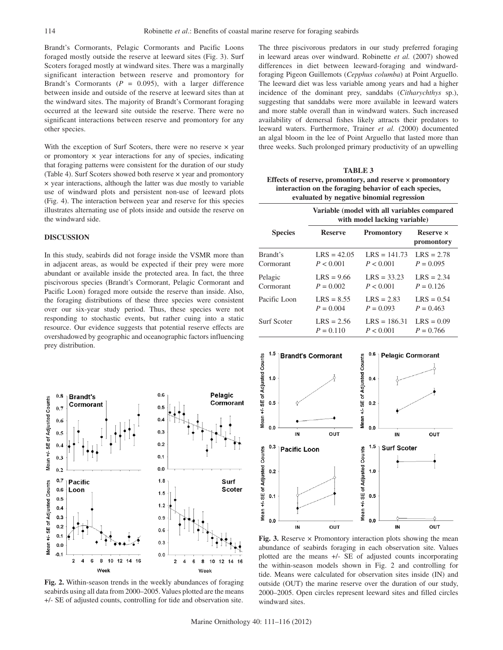Brandt's Cormorants, Pelagic Cormorants and Pacific Loons foraged mostly outside the reserve at leeward sites (Fig. 3). Surf Scoters foraged mostly at windward sites. There was a marginally significant interaction between reserve and promontory for Brandt's Cormorants  $(P = 0.095)$ , with a larger difference between inside and outside of the reserve at leeward sites than at the windward sites. The majority of Brandt's Cormorant foraging occurred at the leeward site outside the reserve. There were no significant interactions between reserve and promontory for any other species.

With the exception of Surf Scoters, there were no reserve  $\times$  year or promontory  $\times$  year interactions for any of species, indicating that foraging patterns were consistent for the duration of our study (Table 4). Surf Scoters showed both reserve × year and promontory × year interactions, although the latter was due mostly to variable use of windward plots and persistent non-use of leeward plots (Fig. 4). The interaction between year and reserve for this species illustrates alternating use of plots inside and outside the reserve on the windward side.

# **DISCUSSION**

In this study, seabirds did not forage inside the VSMR more than in adjacent areas, as would be expected if their prey were more abundant or available inside the protected area. In fact, the three piscivorous species (Brandt's Cormorant, Pelagic Cormorant and Pacific Loon) foraged more outside the reserve than inside. Also, the foraging distributions of these three species were consistent over our six-year study period. Thus, these species were not responding to stochastic events, but rather cuing into a static resource. Our evidence suggests that potential reserve effects are overshadowed by geographic and oceanographic factors influencing prey distribution.



**Fig. 2.** Within-season trends in the weekly abundances of foraging seabirds using all data from 2000–2005. Values plotted are the means +/- SE of adjusted counts, controlling for tide and observation site.

The three piscivorous predators in our study preferred foraging in leeward areas over windward. Robinette *et al.* (2007) showed differences in diet between leeward-foraging and windwardforaging Pigeon Guillemots (*Cepphus columba*) at Point Arguello. The leeward diet was less variable among years and had a higher incidence of the dominant prey, sanddabs (*Citharychthys* sp.), suggesting that sanddabs were more available in leeward waters and more stable overall than in windward waters. Such increased availability of demersal fishes likely attracts their predators to leeward waters. Furthermore, Trainer *et al.* (2000) documented an algal bloom in the lee of Point Arguello that lasted more than three weeks. Such prolonged primary productivity of an upwelling

**TABLE 3 Effects of reserve, promontory, and reserve × promontory interaction on the foraging behavior of each species, evaluated by negative binomial regression** 

|                    | Variable (model with all variables compared<br>with model lacking variable) |                   |                                       |  |
|--------------------|-----------------------------------------------------------------------------|-------------------|---------------------------------------|--|
| <b>Species</b>     | <b>Reserve</b>                                                              | <b>Promontory</b> | <b>Reserve</b> $\times$<br>promontory |  |
| Brandt's           | $LRS = 42.05$                                                               | $LRS = 141.73$    | $LRS = 2.78$                          |  |
| Cormorant          | P < 0.001                                                                   | P < 0.001         | $P = 0.095$                           |  |
| Pelagic            | $LRS = 9.66$                                                                | $LRS = 33.23$     | $LRS = 2.34$                          |  |
| Cormorant          | $P = 0.002$                                                                 | P < 0.001         | $P = 0.126$                           |  |
| Pacific Loon       | $LRS = 8.55$                                                                | $LRS = 2.83$      | $LRS = 0.54$                          |  |
|                    | $P = 0.004$                                                                 | $P = 0.093$       | $P = 0.463$                           |  |
| <b>Surf Scoter</b> | $LRS = 2.56$                                                                | $LRS = 186.31$    | $LRS = 0.09$                          |  |
|                    | $P = 0.110$                                                                 | P < 0.001         | $P = 0.766$                           |  |



**Fig. 3.** Reserve × Promontory interaction plots showing the mean abundance of seabirds foraging in each observation site. Values plotted are the means +/- SE of adjusted counts incorporating the within-season models shown in Fig. 2 and controlling for tide. Means were calculated for observation sites inside (IN) and outside (OUT) the marine reserve over the duration of our study, 2000–2005. Open circles represent leeward sites and filled circles windward sites.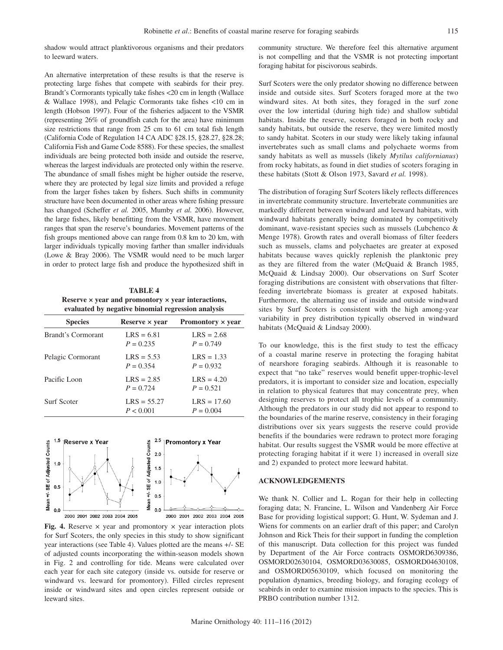shadow would attract planktivorous organisms and their predators to leeward waters.

An alternative interpretation of these results is that the reserve is protecting large fishes that compete with seabirds for their prey. Brandt's Cormorants typically take fishes <20 cm in length (Wallace & Wallace 1998), and Pelagic Cormorants take fishes <10 cm in length (Hobson 1997). Four of the fisheries adjacent to the VSMR (representing 26% of groundfish catch for the area) have minimum size restrictions that range from 25 cm to 61 cm total fish length (California Code of Regulation 14 CA ADC §28.15, §28.27, §28.28; California Fish and Game Code 8588). For these species, the smallest individuals are being protected both inside and outside the reserve, whereas the largest individuals are protected only within the reserve. The abundance of small fishes might be higher outside the reserve, where they are protected by legal size limits and provided a refuge from the larger fishes taken by fishers. Such shifts in community structure have been documented in other areas where fishing pressure has changed (Scheffer *et al.* 2005, Mumby *et al.* 2006). However, the large fishes, likely benefitting from the VSMR, have movement ranges that span the reserve's boundaries. Movement patterns of the fish groups mentioned above can range from 0.8 km to 20 km, with larger individuals typically moving farther than smaller individuals (Lowe & Bray 2006). The VSMR would need to be much larger in order to protect large fish and produce the hypothesized shift in

**TABLE 4 Reserve × year and promontory × year interactions, evaluated by negative binomial regression analysis**

| <b>Species</b>     | Reserve $\times$ year       | Promontory $\times$ year     |
|--------------------|-----------------------------|------------------------------|
| Brandt's Cormorant | $LRS = 6.81$<br>$P = 0.235$ | $LRS = 2.68$<br>$P = 0.749$  |
| Pelagic Cormorant  | $LRS = 5.53$<br>$P = 0.354$ | $LRS = 1.33$<br>$P = 0.932$  |
| Pacific Loon       | $LRS = 2.85$<br>$P = 0.724$ | $LRS = 4.20$<br>$P = 0.521$  |
| <b>Surf Scoter</b> | $LRS = 55.27$<br>P < 0.001  | $LRS = 17.60$<br>$P = 0.004$ |



**Fig. 4.** Reserve  $\times$  year and promontory  $\times$  year interaction plots for Surf Scoters, the only species in this study to show significant year interactions (see Table 4). Values plotted are the means +/- SE of adjusted counts incorporating the within-season models shown in Fig. 2 and controlling for tide. Means were calculated over each year for each site category (inside vs. outside for reserve or windward vs. leeward for promontory). Filled circles represent inside or windward sites and open circles represent outside or leeward sites.

community structure. We therefore feel this alternative argument is not compelling and that the VSMR is not protecting important foraging habitat for piscivorous seabirds.

Surf Scoters were the only predator showing no difference between inside and outside sites. Surf Scoters foraged more at the two windward sites. At both sites, they foraged in the surf zone over the low intertidal (during high tide) and shallow subtidal habitats. Inside the reserve, scoters foraged in both rocky and sandy habitats, but outside the reserve, they were limited mostly to sandy habitat. Scoters in our study were likely taking infaunal invertebrates such as small clams and polychaete worms from sandy habitats as well as mussels (likely *Mytilus californianus*) from rocky habitats, as found in diet studies of scoters foraging in these habitats (Stott & Olson 1973, Savard *et al.* 1998).

The distribution of foraging Surf Scoters likely reflects differences in invertebrate community structure. Invertebrate communities are markedly different between windward and leeward habitats, with windward habitats generally being dominated by competitively dominant, wave-resistant species such as mussels (Lubchenco & Menge 1978). Growth rates and overall biomass of filter feeders such as mussels, clams and polychaetes are greater at exposed habitats because waves quickly replenish the planktonic prey as they are filtered from the water (McQuaid & Branch 1985, McQuaid & Lindsay 2000). Our observations on Surf Scoter foraging distributions are consistent with observations that filterfeeding invertebrate biomass is greater at exposed habitats. Furthermore, the alternating use of inside and outside windward sites by Surf Scoters is consistent with the high among-year variability in prey distribution typically observed in windward habitats (McQuaid & Lindsay 2000).

To our knowledge, this is the first study to test the efficacy of a coastal marine reserve in protecting the foraging habitat of nearshore foraging seabirds. Although it is reasonable to expect that "no take" reserves would benefit upper-trophic-level predators, it is important to consider size and location, especially in relation to physical features that may concentrate prey, when designing reserves to protect all trophic levels of a community. Although the predators in our study did not appear to respond to the boundaries of the marine reserve, consistency in their foraging distributions over six years suggests the reserve could provide benefits if the boundaries were redrawn to protect more foraging habitat. Our results suggest the VSMR would be more effective at protecting foraging habitat if it were 1) increased in overall size and 2) expanded to protect more leeward habitat.

## **ACKNOWLEDGEMENTS**

We thank N. Collier and L. Rogan for their help in collecting foraging data; N. Francine, L. Wilson and Vandenberg Air Force Base for providing logistical support; G. Hunt, W. Sydeman and J. Wiens for comments on an earlier draft of this paper; and Carolyn Johnson and Rick Theis for their support in funding the completion of this manuscript. Data collection for this project was funded by Department of the Air Force contracts OSMORD6309386, OSMORD02630104, OSMORD03630085, OSMORD04630108, and OSMORD05630109, which focused on monitoring the population dynamics, breeding biology, and foraging ecology of seabirds in order to examine mission impacts to the species. This is PRBO contribution number 1312.